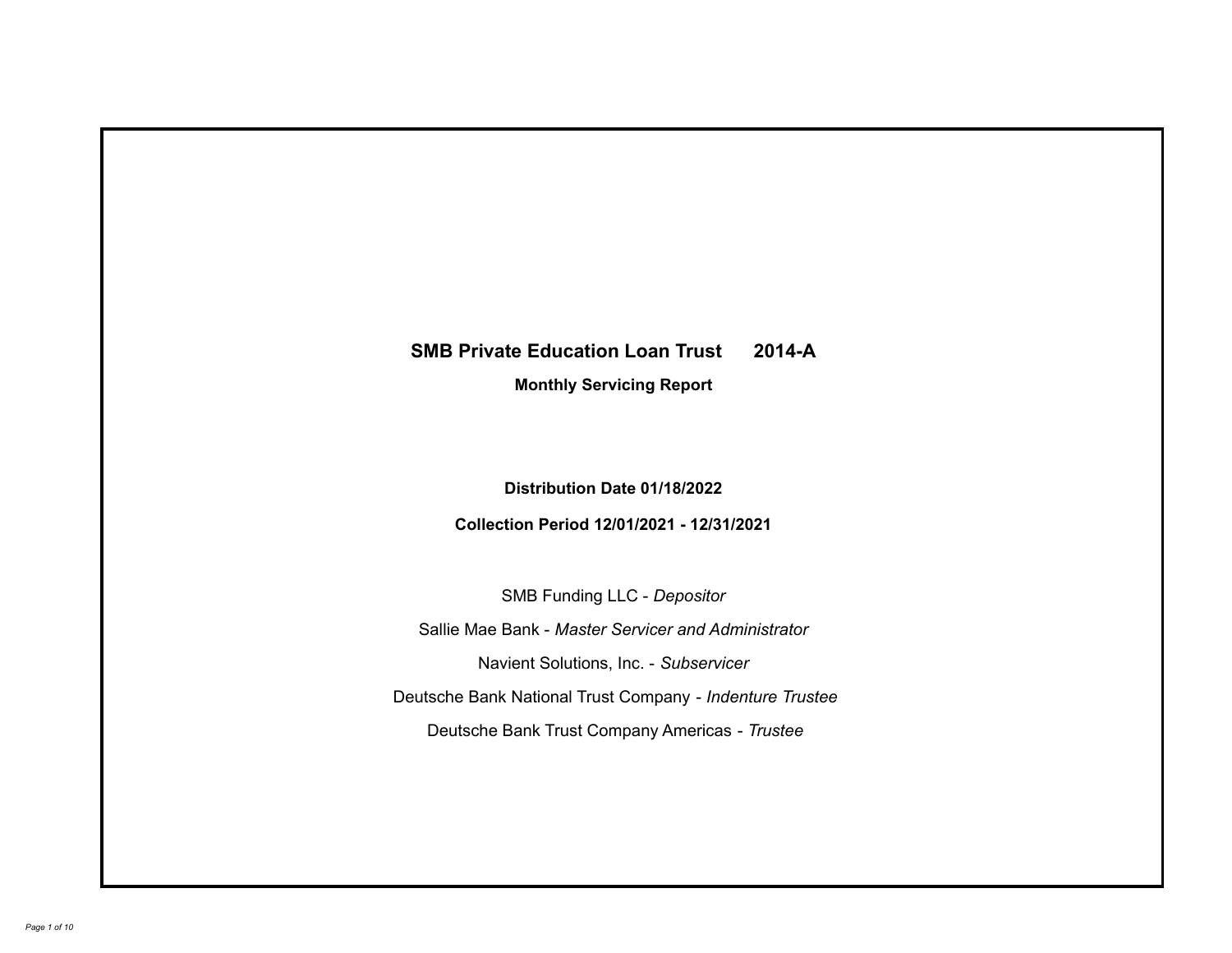# **SMB Private Education Loan Trust 2014-A**

**Monthly Servicing Report**

**Distribution Date 01/18/2022**

**Collection Period 12/01/2021 - 12/31/2021**

SMB Funding LLC - *Depositor*

Sallie Mae Bank - *Master Servicer and Administrator*

Navient Solutions, Inc. - *Subservicer*

Deutsche Bank National Trust Company - *Indenture Trustee*

Deutsche Bank Trust Company Americas - *Trustee*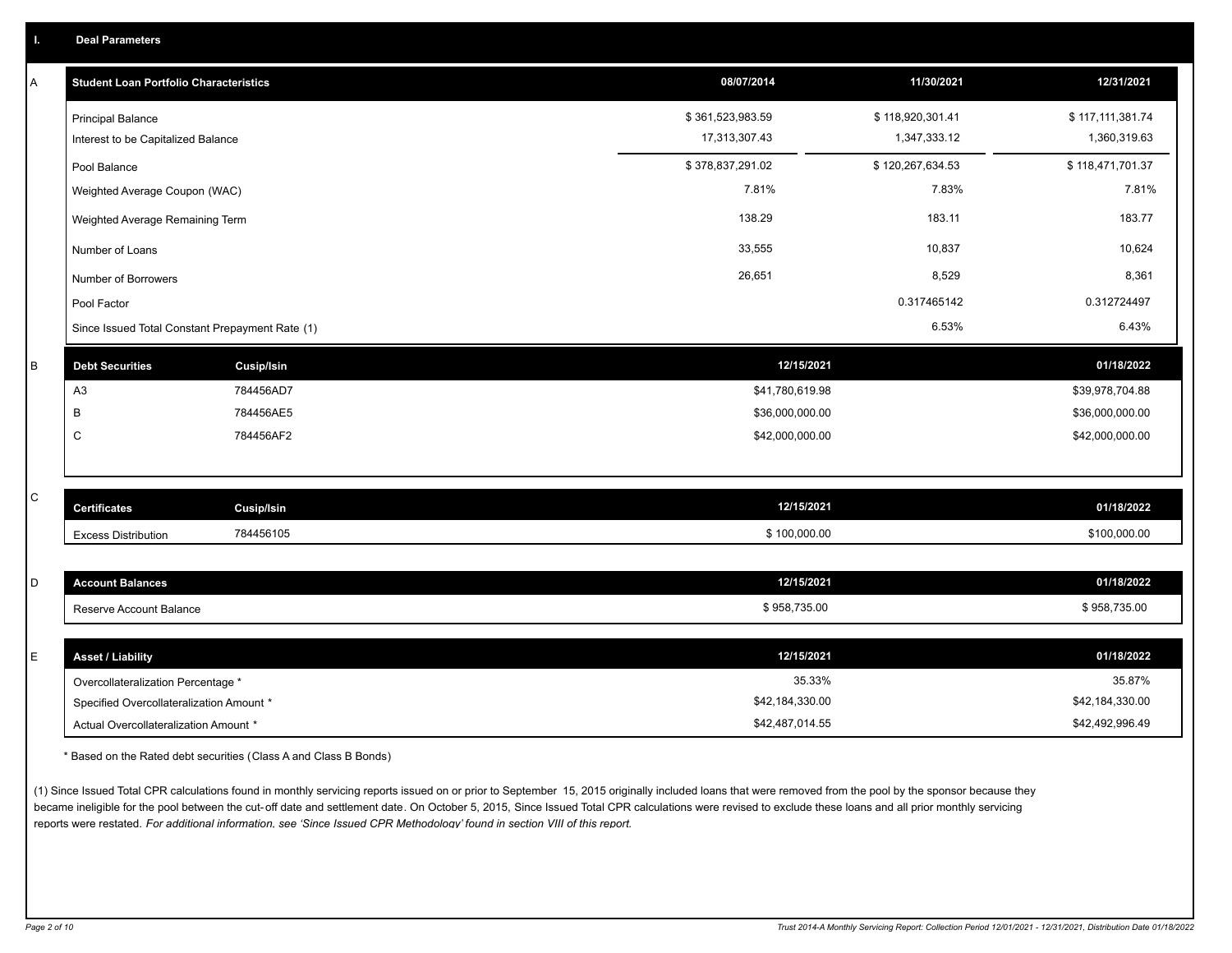| Α | <b>Student Loan Portfolio Characteristics</b>   |                   | 08/07/2014       | 11/30/2021       | 12/31/2021       |
|---|-------------------------------------------------|-------------------|------------------|------------------|------------------|
|   | <b>Principal Balance</b>                        |                   | \$361,523,983.59 | \$118,920,301.41 | \$117,111,381.74 |
|   | Interest to be Capitalized Balance              |                   | 17,313,307.43    | 1,347,333.12     | 1,360,319.63     |
|   | Pool Balance                                    |                   | \$378,837,291.02 | \$120,267,634.53 | \$118,471,701.37 |
|   | Weighted Average Coupon (WAC)                   |                   | 7.81%            | 7.83%            | 7.81%            |
|   | Weighted Average Remaining Term                 |                   | 138.29           | 183.11           | 183.77           |
|   | Number of Loans                                 |                   | 33,555           | 10,837           | 10,624           |
|   | Number of Borrowers                             |                   | 26,651           | 8,529            | 8,361            |
|   | Pool Factor                                     |                   |                  | 0.317465142      | 0.312724497      |
|   | Since Issued Total Constant Prepayment Rate (1) |                   |                  | 6.53%            | 6.43%            |
| B | <b>Debt Securities</b>                          | <b>Cusip/Isin</b> | 12/15/2021       |                  | 01/18/2022       |
|   | A <sub>3</sub>                                  | 784456AD7         | \$41,780,619.98  |                  | \$39,978,704.88  |
|   | В                                               | 784456AE5         | \$36,000,000.00  |                  | \$36,000,000.00  |
|   | $\mathsf{C}$                                    | 784456AF2         | \$42,000,000.00  |                  | \$42,000,000.00  |
|   |                                                 |                   |                  |                  |                  |
| C | <b>Certificates</b>                             | <b>Cusip/Isin</b> | 12/15/2021       |                  | 01/18/2022       |
|   |                                                 |                   |                  |                  |                  |
|   | <b>Excess Distribution</b>                      | 784456105         | \$100,000.00     |                  | \$100,000.00     |
| D | <b>Account Balances</b>                         |                   | 12/15/2021       |                  | 01/18/2022       |
|   | Reserve Account Balance                         |                   | \$958,735.00     |                  | \$958,735.00     |
|   |                                                 |                   |                  |                  |                  |
| Е | <b>Asset / Liability</b>                        |                   | 12/15/2021       |                  | 01/18/2022       |
|   | Overcollateralization Percentage *              |                   | 35.33%           |                  | 35.87%           |
|   | Specified Overcollateralization Amount *        |                   | \$42,184,330.00  |                  | \$42,184,330.00  |

\* Based on the Rated debt securities (Class A and Class B Bonds)

(1) Since Issued Total CPR calculations found in monthly servicing reports issued on or prior to September 15, 2015 originally included loans that were removed from the pool by the sponsor because they became ineligible for the pool between the cut-off date and settlement date. On October 5, 2015, Since Issued Total CPR calculations were revised to exclude these loans and all prior monthly servicing reports were restated. *For additional information, see 'Since Issued CPR Methodology' found in section VIII of this report.*

Actual Overcollateralization Amount \* \$42,487,014.55

\$42,492,996.49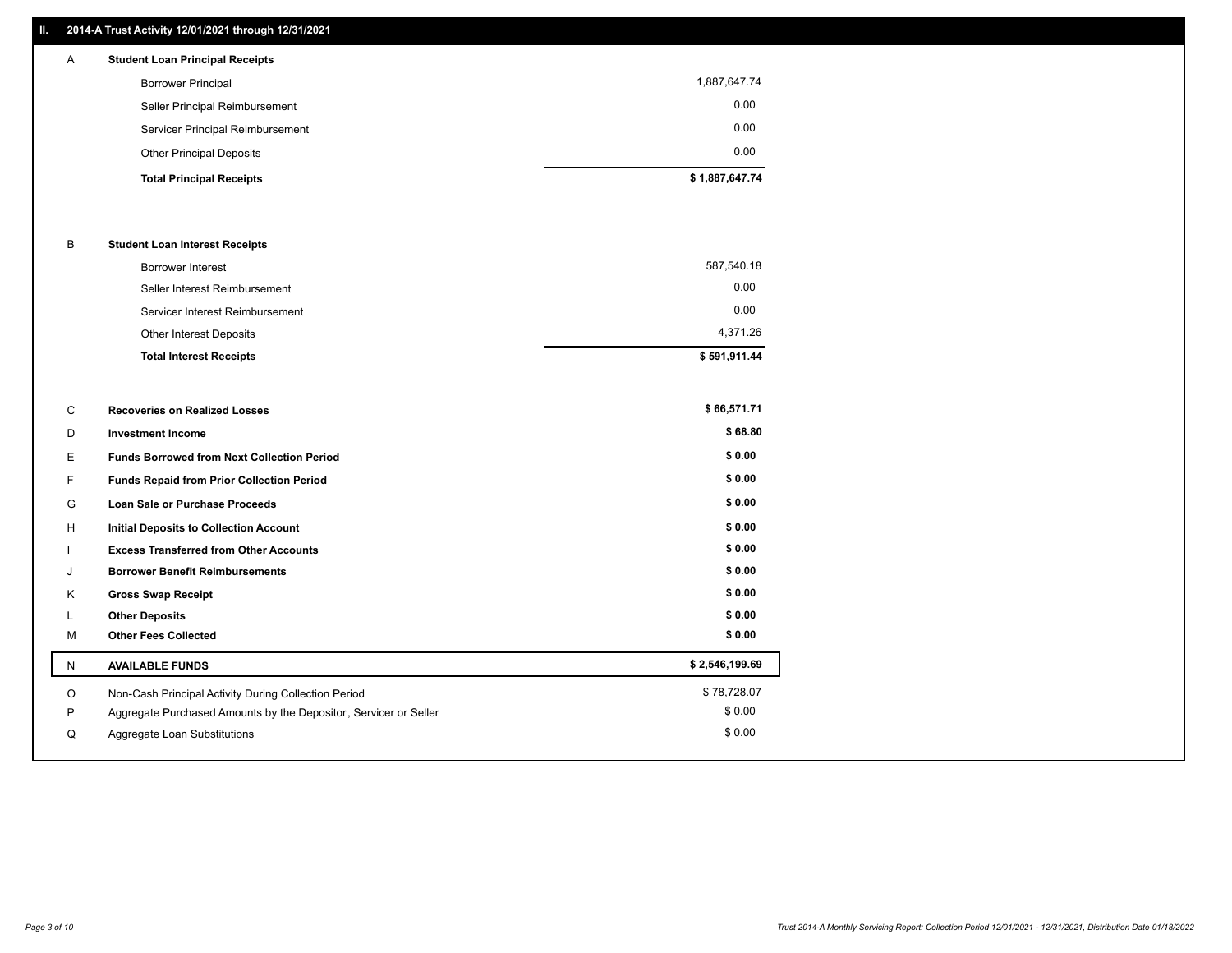### **II. 2014-A Trust Activity 12/01/2021 through 12/31/2021**

| A | <b>Student Loan Principal Receipts</b> |                |
|---|----------------------------------------|----------------|
|   | <b>Borrower Principal</b>              | 1,887,647.74   |
|   | Seller Principal Reimbursement         | 0.00           |
|   | Servicer Principal Reimbursement       | 0.00           |
|   | <b>Other Principal Deposits</b>        | 0.00           |
|   | <b>Total Principal Receipts</b>        | \$1,887,647.74 |

#### B **Student Loan Interest Receipts**

| <b>Total Interest Receipts</b>  | \$591,911.44 |
|---------------------------------|--------------|
| Other Interest Deposits         | 4,371.26     |
| Servicer Interest Reimbursement | 0.00         |
| Seller Interest Reimbursement   | 0.00         |
| <b>Borrower Interest</b>        | 587,540.18   |

| C | <b>Recoveries on Realized Losses</b>                             | \$66,571.71    |
|---|------------------------------------------------------------------|----------------|
| D | <b>Investment Income</b>                                         | \$68.80        |
| Е | <b>Funds Borrowed from Next Collection Period</b>                | \$0.00         |
| F | <b>Funds Repaid from Prior Collection Period</b>                 | \$0.00         |
| G | <b>Loan Sale or Purchase Proceeds</b>                            | \$0.00         |
| н | <b>Initial Deposits to Collection Account</b>                    | \$0.00         |
|   | <b>Excess Transferred from Other Accounts</b>                    | \$0.00         |
| J | <b>Borrower Benefit Reimbursements</b>                           | \$0.00         |
| Κ | <b>Gross Swap Receipt</b>                                        | \$0.00         |
|   | <b>Other Deposits</b>                                            | \$0.00         |
| M | <b>Other Fees Collected</b>                                      | \$0.00         |
| N | <b>AVAILABLE FUNDS</b>                                           | \$2,546,199.69 |
| O | Non-Cash Principal Activity During Collection Period             | \$78,728.07    |
| Ρ | Aggregate Purchased Amounts by the Depositor, Servicer or Seller | \$0.00         |
| Q | Aggregate Loan Substitutions                                     | \$0.00         |
|   |                                                                  |                |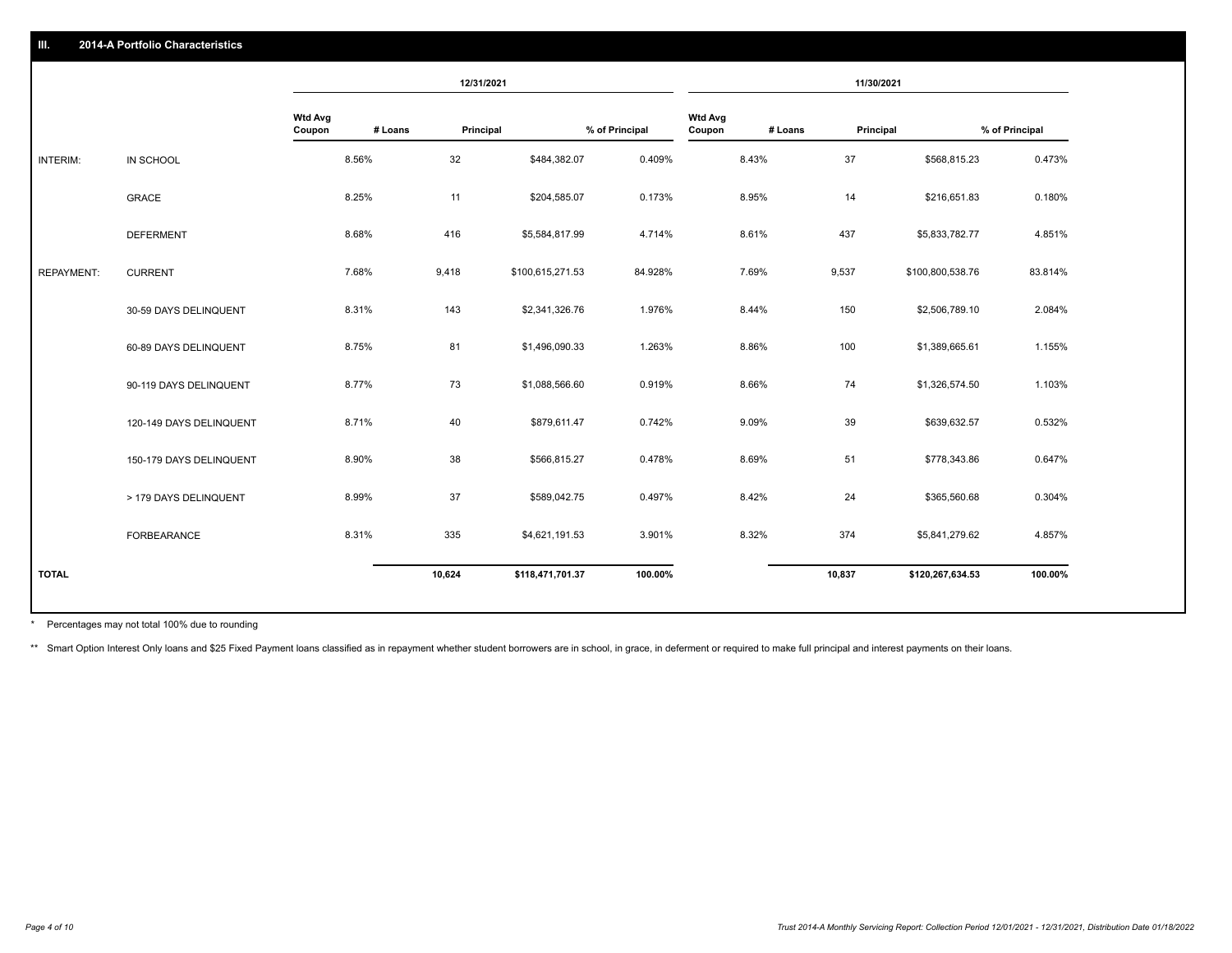|                   |                         | 12/31/2021               |         |           | 11/30/2021       |                |                          |         |           |                  |                |
|-------------------|-------------------------|--------------------------|---------|-----------|------------------|----------------|--------------------------|---------|-----------|------------------|----------------|
|                   |                         | <b>Wtd Avg</b><br>Coupon | # Loans | Principal |                  | % of Principal | <b>Wtd Avg</b><br>Coupon | # Loans | Principal |                  | % of Principal |
| INTERIM:          | IN SCHOOL               |                          | 8.56%   | 32        | \$484,382.07     | 0.409%         |                          | 8.43%   | 37        | \$568,815.23     | 0.473%         |
|                   | <b>GRACE</b>            |                          | 8.25%   | 11        | \$204,585.07     | 0.173%         |                          | 8.95%   | 14        | \$216,651.83     | 0.180%         |
|                   | <b>DEFERMENT</b>        |                          | 8.68%   | 416       | \$5,584,817.99   | 4.714%         |                          | 8.61%   | 437       | \$5,833,782.77   | 4.851%         |
| <b>REPAYMENT:</b> | <b>CURRENT</b>          |                          | 7.68%   | 9,418     | \$100,615,271.53 | 84.928%        |                          | 7.69%   | 9,537     | \$100,800,538.76 | 83.814%        |
|                   | 30-59 DAYS DELINQUENT   |                          | 8.31%   | 143       | \$2,341,326.76   | 1.976%         |                          | 8.44%   | 150       | \$2,506,789.10   | 2.084%         |
|                   | 60-89 DAYS DELINQUENT   |                          | 8.75%   | 81        | \$1,496,090.33   | 1.263%         |                          | 8.86%   | 100       | \$1,389,665.61   | 1.155%         |
|                   | 90-119 DAYS DELINQUENT  |                          | 8.77%   | 73        | \$1,088,566.60   | 0.919%         |                          | 8.66%   | 74        | \$1,326,574.50   | 1.103%         |
|                   | 120-149 DAYS DELINQUENT |                          | 8.71%   | 40        | \$879,611.47     | 0.742%         |                          | 9.09%   | 39        | \$639,632.57     | 0.532%         |
|                   | 150-179 DAYS DELINQUENT |                          | 8.90%   | 38        | \$566,815.27     | 0.478%         |                          | 8.69%   | 51        | \$778,343.86     | 0.647%         |
|                   | > 179 DAYS DELINQUENT   |                          | 8.99%   | 37        | \$589,042.75     | 0.497%         |                          | 8.42%   | 24        | \$365,560.68     | 0.304%         |
|                   | FORBEARANCE             |                          | 8.31%   | 335       | \$4,621,191.53   | 3.901%         |                          | 8.32%   | 374       | \$5,841,279.62   | 4.857%         |
| <b>TOTAL</b>      |                         |                          |         | 10,624    | \$118,471,701.37 | 100.00%        |                          |         | 10,837    | \$120,267,634.53 | 100.00%        |
|                   |                         |                          |         |           |                  |                |                          |         |           |                  |                |

Percentages may not total 100% due to rounding \*

\*\* Smart Option Interest Only loans and \$25 Fixed Payment loans classified as in repayment whether student borrowers are in school, in grace, in deferment or required to make full principal and interest payments on their l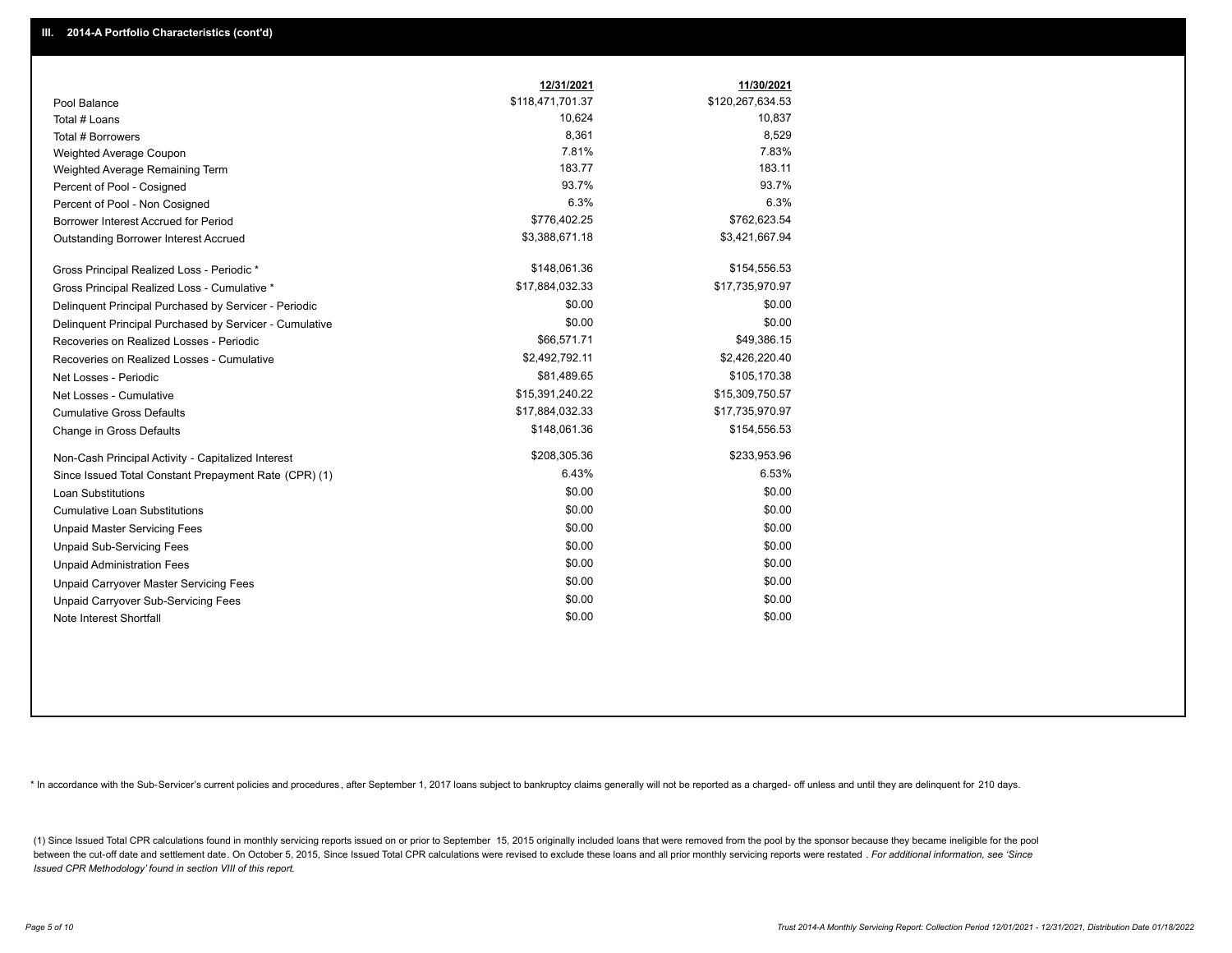|                                                         | 12/31/2021       | 11/30/2021       |
|---------------------------------------------------------|------------------|------------------|
| Pool Balance                                            | \$118,471,701.37 | \$120,267,634.53 |
| Total # Loans                                           | 10,624           | 10,837           |
| Total # Borrowers                                       | 8,361            | 8,529            |
| Weighted Average Coupon                                 | 7.81%            | 7.83%            |
| Weighted Average Remaining Term                         | 183.77           | 183.11           |
| Percent of Pool - Cosigned                              | 93.7%            | 93.7%            |
| Percent of Pool - Non Cosigned                          | 6.3%             | 6.3%             |
| Borrower Interest Accrued for Period                    | \$776,402.25     | \$762,623.54     |
| Outstanding Borrower Interest Accrued                   | \$3,388,671.18   | \$3,421,667.94   |
| Gross Principal Realized Loss - Periodic *              | \$148,061.36     | \$154,556.53     |
| Gross Principal Realized Loss - Cumulative *            | \$17,884,032.33  | \$17,735,970.97  |
| Delinquent Principal Purchased by Servicer - Periodic   | \$0.00           | \$0.00           |
| Delinguent Principal Purchased by Servicer - Cumulative | \$0.00           | \$0.00           |
| Recoveries on Realized Losses - Periodic                | \$66,571.71      | \$49,386.15      |
| Recoveries on Realized Losses - Cumulative              | \$2,492,792.11   | \$2,426,220.40   |
| Net Losses - Periodic                                   | \$81,489.65      | \$105,170.38     |
| Net Losses - Cumulative                                 | \$15,391,240.22  | \$15,309,750.57  |
| <b>Cumulative Gross Defaults</b>                        | \$17,884,032.33  | \$17,735,970.97  |
| Change in Gross Defaults                                | \$148,061.36     | \$154,556.53     |
| Non-Cash Principal Activity - Capitalized Interest      | \$208,305.36     | \$233,953.96     |
| Since Issued Total Constant Prepayment Rate (CPR) (1)   | 6.43%            | 6.53%            |
| <b>Loan Substitutions</b>                               | \$0.00           | \$0.00           |
| <b>Cumulative Loan Substitutions</b>                    | \$0.00           | \$0.00           |
| <b>Unpaid Master Servicing Fees</b>                     | \$0.00           | \$0.00           |
| <b>Unpaid Sub-Servicing Fees</b>                        | \$0.00           | \$0.00           |
| <b>Unpaid Administration Fees</b>                       | \$0.00           | \$0.00           |
| Unpaid Carryover Master Servicing Fees                  | \$0.00           | \$0.00           |
| Unpaid Carryover Sub-Servicing Fees                     | \$0.00           | \$0.00           |
| Note Interest Shortfall                                 | \$0.00           | \$0.00           |

\* In accordance with the Sub-Servicer's current policies and procedures, after September 1, 2017 loans subject to bankruptcy claims generally will not be reported as a charged- off unless and until they are delinquent for

(1) Since Issued Total CPR calculations found in monthly servicing reports issued on or prior to September 15, 2015 originally included loans that were removed from the pool by the sponsor because they became ineligible fo between the cut-off date and settlement date. On October 5, 2015, Since Issued Total CPR calculations were revised to exclude these loans and all prior monthly servicing reports were restated . For additional information, *Issued CPR Methodology' found in section VIII of this report.*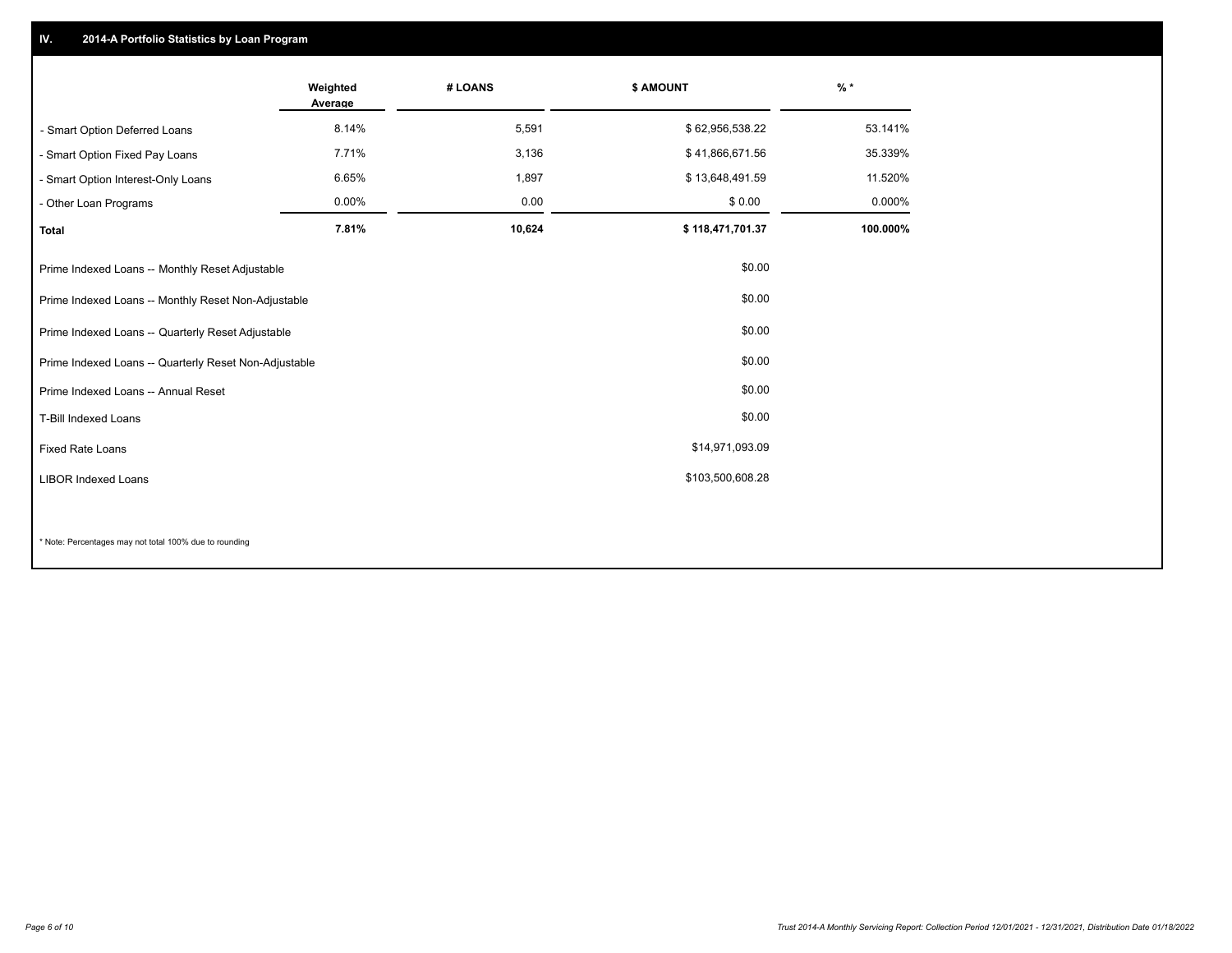## **IV. 2014-A Portfolio Statistics by Loan Program**

|                                                       | Weighted<br>Average | # LOANS | \$ AMOUNT        | $%$ *    |
|-------------------------------------------------------|---------------------|---------|------------------|----------|
| - Smart Option Deferred Loans                         | 8.14%               | 5,591   | \$62,956,538.22  | 53.141%  |
| - Smart Option Fixed Pay Loans                        | 7.71%               | 3,136   | \$41,866,671.56  | 35.339%  |
| - Smart Option Interest-Only Loans                    | 6.65%               | 1,897   | \$13,648,491.59  | 11.520%  |
| - Other Loan Programs                                 | $0.00\%$            | 0.00    | \$0.00           | 0.000%   |
| <b>Total</b>                                          | 7.81%               | 10,624  | \$118,471,701.37 | 100.000% |
| Prime Indexed Loans -- Monthly Reset Adjustable       |                     |         | \$0.00           |          |
| Prime Indexed Loans -- Monthly Reset Non-Adjustable   |                     |         | \$0.00           |          |
| Prime Indexed Loans -- Quarterly Reset Adjustable     |                     |         | \$0.00           |          |
| Prime Indexed Loans -- Quarterly Reset Non-Adjustable |                     |         | \$0.00           |          |
| Prime Indexed Loans -- Annual Reset                   |                     |         | \$0.00           |          |
| T-Bill Indexed Loans                                  |                     |         | \$0.00           |          |
| <b>Fixed Rate Loans</b>                               |                     |         | \$14,971,093.09  |          |
| <b>LIBOR Indexed Loans</b>                            |                     |         | \$103,500,608.28 |          |
|                                                       |                     |         |                  |          |

\* Note: Percentages may not total 100% due to rounding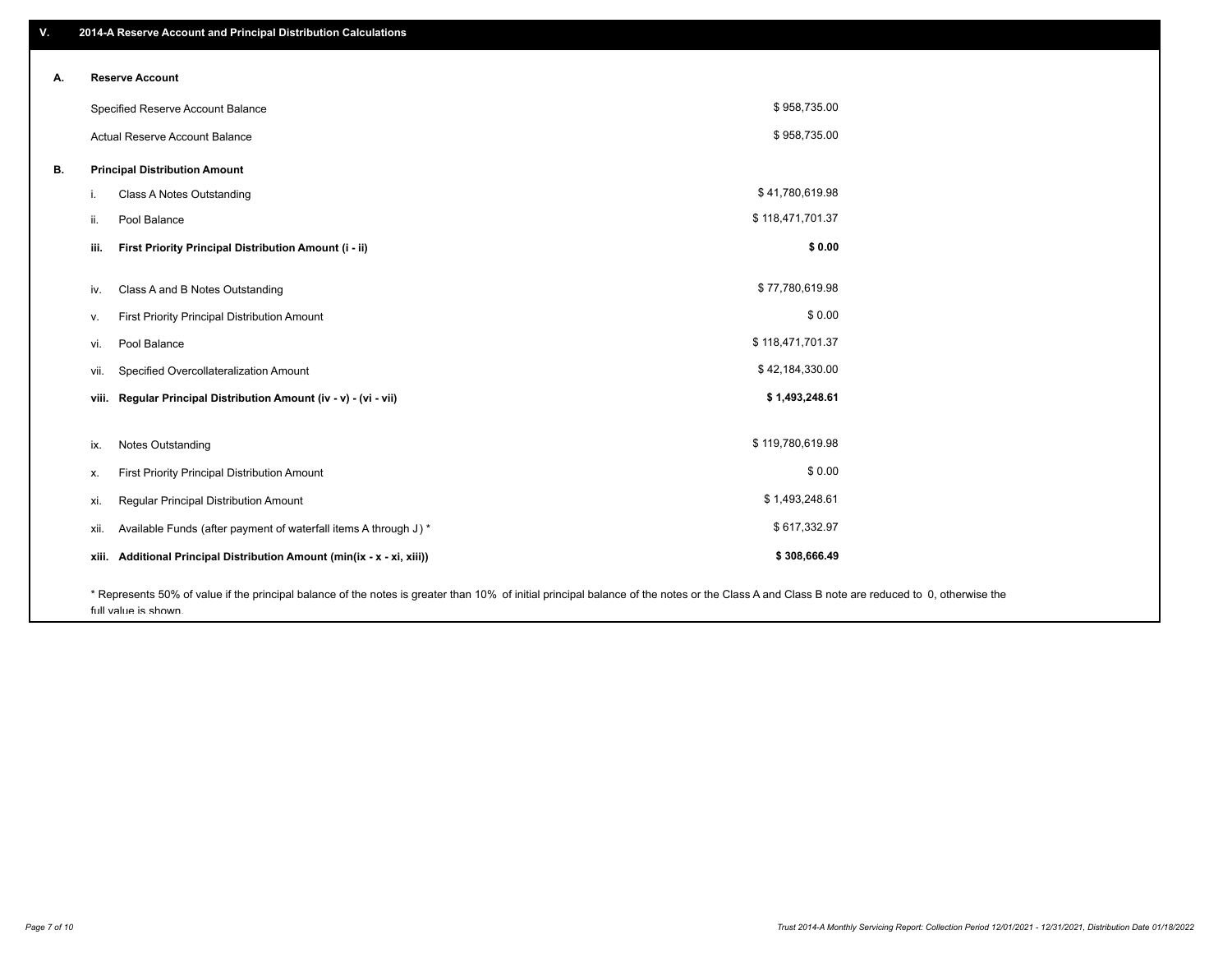| V. | 2014-A Reserve Account and Principal Distribution Calculations                                                                                                                                |                  |  |
|----|-----------------------------------------------------------------------------------------------------------------------------------------------------------------------------------------------|------------------|--|
| А. | <b>Reserve Account</b>                                                                                                                                                                        |                  |  |
|    |                                                                                                                                                                                               | \$958,735.00     |  |
|    | Specified Reserve Account Balance                                                                                                                                                             |                  |  |
|    | Actual Reserve Account Balance                                                                                                                                                                | \$958,735.00     |  |
| В. | <b>Principal Distribution Amount</b>                                                                                                                                                          |                  |  |
|    | Class A Notes Outstanding<br>ı.                                                                                                                                                               | \$41,780,619.98  |  |
|    | Pool Balance<br>ii.                                                                                                                                                                           | \$118,471,701.37 |  |
|    | iii.<br>First Priority Principal Distribution Amount (i - ii)                                                                                                                                 | \$0.00           |  |
|    | Class A and B Notes Outstanding<br>iv.                                                                                                                                                        | \$77,780,619.98  |  |
|    | First Priority Principal Distribution Amount<br>v.                                                                                                                                            | \$0.00           |  |
|    | Pool Balance<br>vi.                                                                                                                                                                           | \$118,471,701.37 |  |
|    | Specified Overcollateralization Amount<br>vii.                                                                                                                                                | \$42,184,330.00  |  |
|    | viii. Regular Principal Distribution Amount (iv - v) - (vi - vii)                                                                                                                             | \$1,493,248.61   |  |
|    | <b>Notes Outstanding</b><br>ix.                                                                                                                                                               | \$119,780,619.98 |  |
|    | First Priority Principal Distribution Amount<br>х.                                                                                                                                            | \$0.00           |  |
|    | Regular Principal Distribution Amount<br>xi.                                                                                                                                                  | \$1,493,248.61   |  |
|    | Available Funds (after payment of waterfall items A through J) *<br>xii.                                                                                                                      | \$617,332.97     |  |
|    | xiii. Additional Principal Distribution Amount (min(ix - x - xi, xiii))                                                                                                                       | \$308,666.49     |  |
|    | * Represents 50% of value if the principal balance of the notes is greater than 10% of initial principal balance of the notes or the Class A and Class B note are reduced to 0, otherwise the |                  |  |

full value is shown.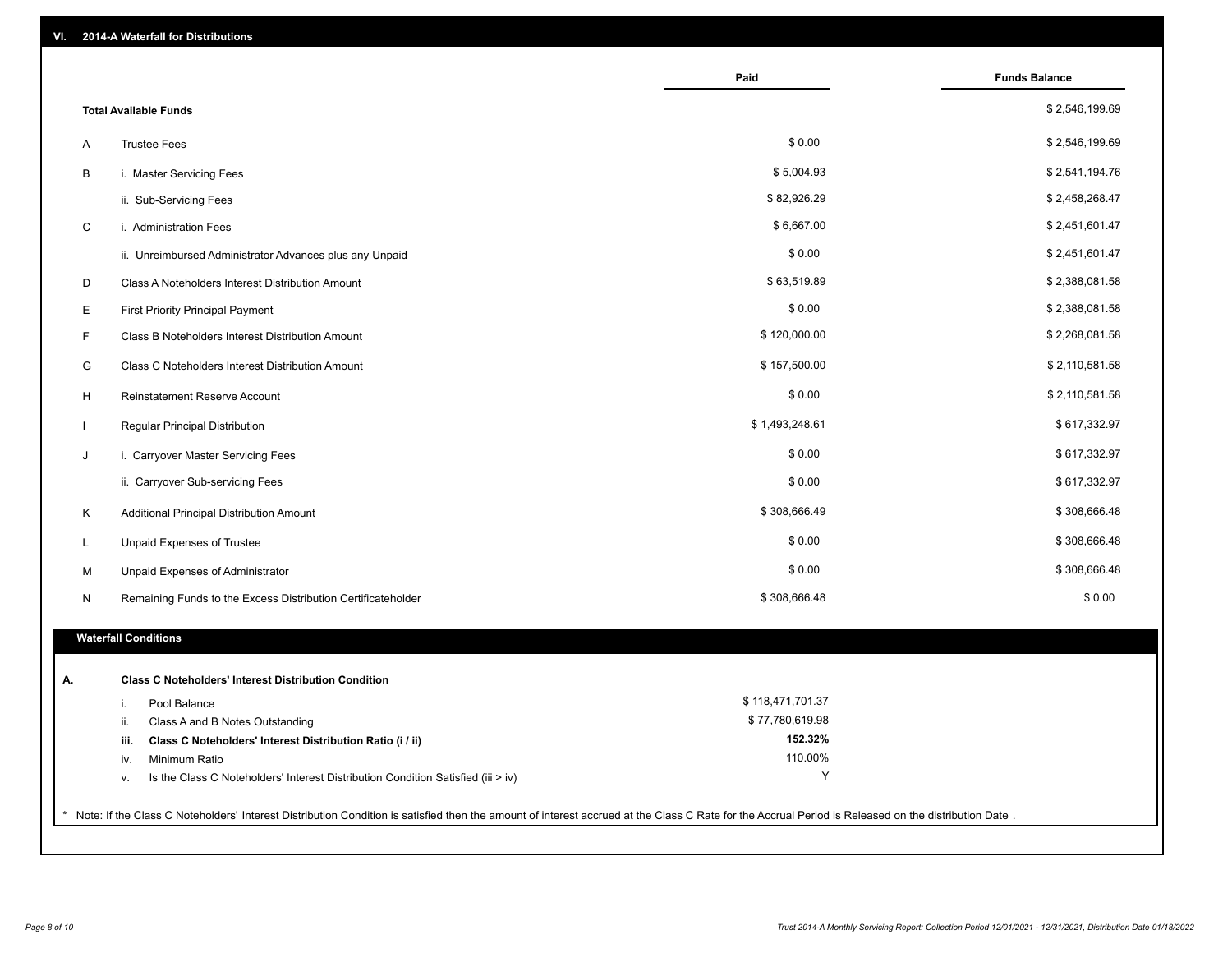| VI.         | 2014-A Waterfall for Distributions                                                                                                                                                                    |                  |                      |
|-------------|-------------------------------------------------------------------------------------------------------------------------------------------------------------------------------------------------------|------------------|----------------------|
|             |                                                                                                                                                                                                       | Paid             | <b>Funds Balance</b> |
|             | <b>Total Available Funds</b>                                                                                                                                                                          |                  | \$2,546,199.69       |
| Α           | <b>Trustee Fees</b>                                                                                                                                                                                   | \$0.00           | \$2,546,199.69       |
| В           | i. Master Servicing Fees                                                                                                                                                                              | \$5,004.93       | \$2,541,194.76       |
|             | ii. Sub-Servicing Fees                                                                                                                                                                                | \$82,926.29      | \$2,458,268.47       |
| $\mathbf C$ | i. Administration Fees                                                                                                                                                                                | \$6,667.00       | \$2,451,601.47       |
|             | ii. Unreimbursed Administrator Advances plus any Unpaid                                                                                                                                               | \$0.00           | \$2,451,601.47       |
| D           | Class A Noteholders Interest Distribution Amount                                                                                                                                                      | \$63,519.89      | \$2,388,081.58       |
| Е           | <b>First Priority Principal Payment</b>                                                                                                                                                               | \$0.00           | \$2,388,081.58       |
| F           | Class B Noteholders Interest Distribution Amount                                                                                                                                                      | \$120,000.00     | \$2,268,081.58       |
| G           | Class C Noteholders Interest Distribution Amount                                                                                                                                                      | \$157,500.00     | \$2,110,581.58       |
| H           | Reinstatement Reserve Account                                                                                                                                                                         | \$0.00           | \$2,110,581.58       |
|             | Regular Principal Distribution                                                                                                                                                                        | \$1,493,248.61   | \$617,332.97         |
| J           | i. Carryover Master Servicing Fees                                                                                                                                                                    | \$0.00           | \$617,332.97         |
|             | ii. Carryover Sub-servicing Fees                                                                                                                                                                      | \$0.00           | \$617,332.97         |
| Κ           | Additional Principal Distribution Amount                                                                                                                                                              | \$308,666.49     | \$308,666.48         |
| L           | Unpaid Expenses of Trustee                                                                                                                                                                            | \$0.00           | \$308,666.48         |
| М           | Unpaid Expenses of Administrator                                                                                                                                                                      | \$0.00           | \$308,666.48         |
| N           | Remaining Funds to the Excess Distribution Certificateholder                                                                                                                                          | \$308,666.48     | \$0.00               |
|             | <b>Waterfall Conditions</b>                                                                                                                                                                           |                  |                      |
|             |                                                                                                                                                                                                       |                  |                      |
| А.          | <b>Class C Noteholders' Interest Distribution Condition</b>                                                                                                                                           |                  |                      |
|             | Pool Balance<br>i.                                                                                                                                                                                    | \$118,471,701.37 |                      |
|             | Class A and B Notes Outstanding<br>ii.                                                                                                                                                                | \$77,780,619.98  |                      |
|             | Class C Noteholders' Interest Distribution Ratio (i / ii)<br>iii.                                                                                                                                     | 152.32%          |                      |
|             | Minimum Ratio<br>iv.                                                                                                                                                                                  | 110.00%          |                      |
|             | Is the Class C Noteholders' Interest Distribution Condition Satisfied (iii > iv)<br>V.                                                                                                                | Υ                |                      |
|             | * Note: If the Class C Noteholders' Interest Distribution Condition is satisfied then the amount of interest accrued at the Class C Rate for the Accrual Period is Released on the distribution Date. |                  |                      |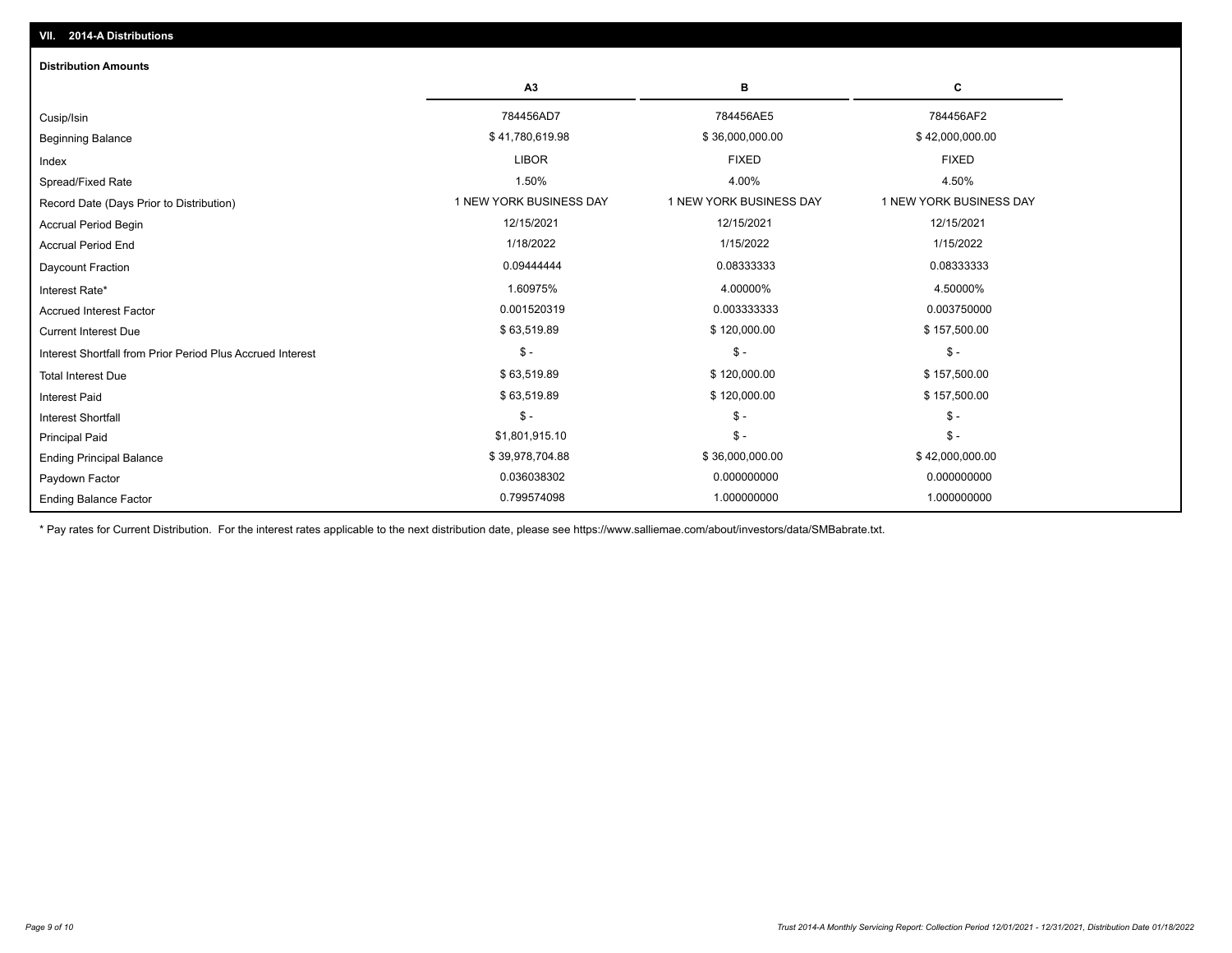| <b>Distribution Amounts</b>                                |                         |                         |                         |  |  |  |
|------------------------------------------------------------|-------------------------|-------------------------|-------------------------|--|--|--|
|                                                            | A3                      | В                       | C                       |  |  |  |
| Cusip/Isin                                                 | 784456AD7               | 784456AE5               | 784456AF2               |  |  |  |
| <b>Beginning Balance</b>                                   | \$41,780,619.98         | \$36,000,000.00         | \$42,000,000.00         |  |  |  |
| Index                                                      | <b>LIBOR</b>            | <b>FIXED</b>            | <b>FIXED</b>            |  |  |  |
| Spread/Fixed Rate                                          | 1.50%                   | 4.00%                   | 4.50%                   |  |  |  |
| Record Date (Days Prior to Distribution)                   | 1 NEW YORK BUSINESS DAY | 1 NEW YORK BUSINESS DAY | 1 NEW YORK BUSINESS DAY |  |  |  |
| Accrual Period Begin                                       | 12/15/2021              | 12/15/2021              | 12/15/2021              |  |  |  |
| <b>Accrual Period End</b>                                  | 1/18/2022               | 1/15/2022               | 1/15/2022               |  |  |  |
| <b>Daycount Fraction</b>                                   | 0.09444444              | 0.08333333              | 0.08333333              |  |  |  |
| Interest Rate*                                             | 1.60975%                | 4.00000%                | 4.50000%                |  |  |  |
| <b>Accrued Interest Factor</b>                             | 0.001520319             | 0.003333333             | 0.003750000             |  |  |  |
| <b>Current Interest Due</b>                                | \$63,519.89             | \$120,000.00            | \$157,500.00            |  |  |  |
| Interest Shortfall from Prior Period Plus Accrued Interest | $$ -$                   | $\mathsf{\$}$ -         | $$ -$                   |  |  |  |
| <b>Total Interest Due</b>                                  | \$63,519.89             | \$120,000.00            | \$157,500.00            |  |  |  |
| <b>Interest Paid</b>                                       | \$63,519.89             | \$120,000.00            | \$157,500.00            |  |  |  |
| <b>Interest Shortfall</b>                                  | $$ -$                   | $\mathsf{\$}$ -         | $$ -$                   |  |  |  |
| <b>Principal Paid</b>                                      | \$1,801,915.10          | $\mathsf{\$}$ -         | $$ -$                   |  |  |  |
| <b>Ending Principal Balance</b>                            | \$39,978,704.88         | \$36,000,000.00         | \$42,000,000.00         |  |  |  |
| Paydown Factor                                             | 0.036038302             | 0.000000000             | 0.000000000             |  |  |  |
| <b>Ending Balance Factor</b>                               | 0.799574098             | 1.000000000             | 1.000000000             |  |  |  |

\* Pay rates for Current Distribution. For the interest rates applicable to the next distribution date, please see https://www.salliemae.com/about/investors/data/SMBabrate.txt.

**VII. 2014-A Distributions**